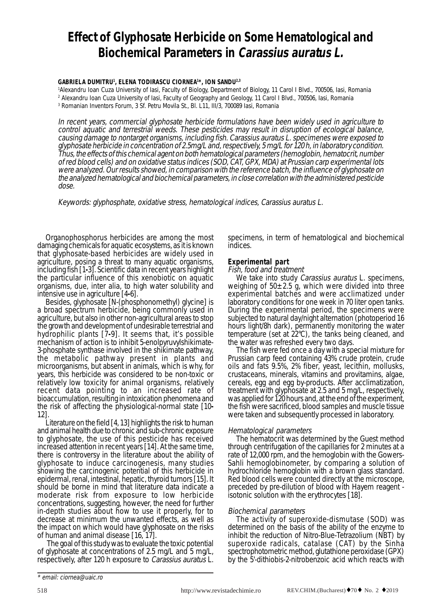# **Effect of Glyphosate Herbicide on Some Hematological and Biochemical Parameters in Carassius auratus L.**

# **GABRIELA DUMITRU1 , ELENA TODIRASCU CIORNEA1 \*, ION SANDU2,3**

1 Alexandru Ioan Cuza University of Iasi, Faculty of Biology, Department of Biology, 11 Carol I Blvd., 700506, Iasi, Romania 2 Alexandru Ioan Cuza University of Iasi, Faculty of Geography and Geology, 11 Carol I Blvd., 700506, Iasi, Romania

3 Romanian Inventors Forum, 3 Sf. Petru Movila St., Bl. L11, III/3, 700089 Iasi, Romania

In recent years, commercial glyphosate herbicide formulations have been widely used in agriculture to control aquatic and terrestrial weeds. These pesticides may result in disruption of ecological balance, causing damage to nontarget organisms, including fish. Carassius auratus L. specimenes were exposed to glyphosate herbicide in concentration of 2.5mg/L and, respectively, 5 mg/L for 120 h, in laboratory condition. Thus, the effects of this chemical agent on both hematological parameters (hemoglobin, hematocrit, number of red blood cells) and on oxidative status indices (SOD, CAT, GPX, MDA) at Prussian carp experimental lots were analyzed. Our results showed, in comparison with the reference batch, the influence of glyphosate on the analyzed hematological and biochemical parameters, in close correlation with the administered pesticide dose.

Keywords: glyphosphate, oxidative stress, hematological indices, Carassius auratus L.

Organophosphorus herbicides are among the most damaging chemicals for aquatic ecosystems, as it is known that glyphosate-based herbicides are widely used in agriculture, posing a threat to many aquatic organisms, including fish [1**-**3]. Scientific data in recent years highlight the particular influence of this xenobiotic on aquatic organisms, due, inter alia, to high water solubility and intensive use in agriculture [4**-**6].

Besides, glyphosate [N-(phosphonomethyl) glycine] is a broad spectrum herbicide, being commonly used in agriculture, but also in other non-agricultural areas to stop the growth and development of undesirable terrestrial and hydrophilic plants [7**-**9]. It seems that, it's possible mechanism of action is to inhibit 5-enolpyruvylshikimate-3-phosphate synthase involved in the shikimate pathway, the metabolic pathway present in plants and microorganisms, but absent in animals, which is why, for years, this herbicide was considered to be non-toxic or relatively low toxicity for animal organisms, relatively recent data pointing to an increased rate of bioaccumulation, resulting in intoxication phenomena and the risk of affecting the physiological-normal state [10**-** 12].

Literature on the field [4, 13] highlights the risk to human and animal health due to chronic and sub-chronic exposure to glyphosate, the use of this pesticide has received increased attention in recent years [14]. At the same time, there is controversy in the literature about the ability of glyphosate to induce carcinogenesis, many studies showing the carcinogenic potential of this herbicide in epidermal, renal, intestinal, hepatic, thyroid tumors [15]. It should be borne in mind that literature data indicate a moderate risk from exposure to low herbicide concentrations, suggesting, however, the need for further in-depth studies about how to use it properly, for to decrease at minimum the unwanted effects, as well as the impact on which would have glyphosate on the risks of human and animal disease [16, 17].

 The goal of this study was to evaluate the toxic potential of glyphosate at concentrations of 2.5 mg/L and 5 mg/L, respectively, after 120 h exposure to Carassius auratus L. specimens, in term of hematological and biochemical indices.

# **Experimental part**

# Fish, food and treatment

We take into study Carassius auratus L. specimens, weighing of  $50\pm2.5$  g, which were divided into three experimental batches and were acclimatized under laboratory conditions for one week in 70 liter open tanks. During the experimental period, the specimens were subjected to natural day/night alternation (photoperiod 16 hours light/8h dark), permanently monitoring the water temperature (set at 22°C), the tanks being cleaned, and the water was refreshed every two days.

The fish were fed once a day with a special mixture for Prussian carp feed containing 43% crude protein, crude oils and fats 9.5%, 2% fiber, yeast, lecithin, mollusks, crustaceans, minerals, vitamins and provitamins, algae, cereals, egg and egg by-products. After acclimatization, treatment with glyphosate at 2.5 and 5 mg/L, respectively, was applied for 120 hours and, at the end of the experiment, the fish were sacrificed, blood samples and muscle tissue were taken and subsequently processed in laboratory.

Hematological parameters The hematocrit was determined by the Guest method through centrifugation of the capillaries for 2 minutes at a rate of 12,000 rpm, and the hemoglobin with the Gowers-Sahli hemoglobinometer, by comparing a solution of hydrochloride hemoglobin with a brown glass standard. Red blood cells were counted directly at the microscope, preceded by pre-dilution of blood with Hayem reagent isotonic solution with the erythrocytes [18].

# Biochemical parameters

The activity of superoxide-dismutase (SOD) was determined on the basis of the ability of the enzyme to inhibit the reduction of Nitro-Blue-Tetrazolium (NBT) by superoxide radicals, catalase (CAT) by the Sinha spectrophotometric method, glutathione peroxidase (GPX) by the 5'-dithiobis-2-nitrobenzoic acid which reacts with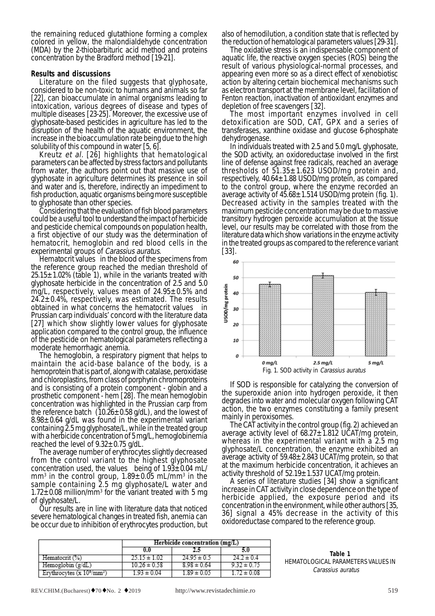the remaining reduced glutathione forming a complex colored in yellow, the malondialdehyde concentration (MDA) by the 2-thiobarbituric acid method and proteins concentration by the Bradford method [19-21].

### **Results and discussions**

Literature on the filed suggests that glyphosate, considered to be non-toxic to humans and animals so far [22], can bioaccumulate in animal organisms leading to intoxication, various degrees of disease and types of multiple diseases [23-25]. Moreover, the excessive use of glyphosate-based pesticides in agriculture has led to the disruption of the health of the aquatic environment, the increase in the bioaccumulation rate being due to the high

solubility of this compound in water [5, 6].<br>Kreutz *et al.* [26] highlights that hematological parameters can be affected by stress factors and pollutants from water, the authors point out that massive use of glyphosate in agriculture determines its presence in soil and water and is, therefore, indirectly an impediment to fish production, aquatic organisms being more susceptible

Considering that the evaluation of fish blood parameters could be a useful tool to understand the impact of herbicide and pesticide chemical compounds on population health, a first objective of our study was the determination of hematocrit, hemoglobin and red blood cells in the experimental groups of *Carassius auratus*.

Hematocrit values in the blood of the specimens from the reference group reached the median threshold of  $25.15 \pm 1.02\%$  (table 1), while in the variants treated with glyphosate herbicide in the concentration of 2.5 and 5.0 mg/L, respectively, values mean of  $24.95 \pm 0.5\%$  and  $24.2 \pm 0.4\%$ , respectively, was estimated. The results obtained in what concerns the hematocrit values in Prussian carp individuals' concord with the literature data [27] which show slightly lower values for glyphosate application compared to the control group, the influence of the pesticide on hematological parameters reflecting a moderate hemorrhagic anemia.

The hemoglobin, a respiratory pigment that helps to maintain the acid-base balance of the body, is a hemoprotein that is part of, along with catalase, peroxidase and chloroplastins, from class of porphyrin chromoproteins and is consisting of a protein component - globin and a prosthetic component - hem [28]. The mean hemoglobin concentration was highlighted in the Prussian carp from the reference batch  $(10.26 \pm 0.58 \text{ g/dL})$ , and the lowest of  $8.98\pm0.64$  g/dL was found in the experimental variant containing  $\bar{2}$ .5 mg glyphosate/L, while in the treated group with a herbicide concentration of 5 mg/L, hemoglobinemia reached the level of  $9.32 \pm 0.75$  g/dL.

The average number of erythrocytes slightly decreased from the control variant to the highest glyphosate concentration used, the values being of  $1.93 \pm 0.04$  mL/ mm $^3$  in the control group, 1.89 $\pm 0.05$  mL/mm $^3$  in the sample containing 2.5 mg glyphosate/L water and  $1.72\pm0.08$  million/mm<sup>3</sup> for the variant treated with 5 mg of glyphosate/L.

Our results are in line with literature data that noticed severe hematological changes in treated fish, anemia can be occur due to inhibition of erythrocytes production, but also of hemodilution, a condition state that is reflected by the reduction of hematological parameters values [29-31].

The oxidative stress is an indispensable component of aquatic life, the reactive oxygen species (ROS) being the result of various physiological-normal processes, and appearing even more so as a direct effect of xenobiotisc action by altering certain biochemical mechanisms such as electron transport at the membrane level, facilitation of Fenton reaction, inactivation of antioxidant enzymes and

depletion of free scavengers [32]. The most important enzymes involved in cell detoxification are SOD, CAT, GPX and a series of transferases, xanthine oxidase and glucose 6-phosphate dehydrogenase.

In individuals treated with 2.5 and 5.0 mg/L glyphosate, the SOD activity, an oxidoreductase involved in the first line of defense against free radicals, reached an average thresholds of  $51.35 \pm 1.623$  USOD/mg protein and, respectively, 40.64±1.88 USOD/mg protein, as compared to the control group, where the enzyme recorded an average activity of  $45.68 \pm 1.514$  USOD/mg protein (fig. 1). Decreased activity in the samples treated with the maximum pesticide concentration may be due to massive transitory hydrogen peroxide accumulation at the tissue level, our results may be correlated with those from the literature data which show variations in the enzyme activity in the treated groups as compared to the reference variant [33].



If SOD is responsible for catalyzing the conversion of the superoxide anion into hydrogen peroxide, it then degrades into water and molecular oxygen following CAT action, the two enzymes constituting a family present mainly in peroxisomes.

The CAT activity in the control group (fig. 2) achieved an average activity level of  $68.27 \pm 1.812$  UCAT/mg protein, whereas in the experimental variant with a 2.5 mg glyphosate/L concentration, the enzyme exhibited an average activity of  $59.48 \pm 2.843$  UCAT/mg protein, so that at the maximum herbicide concentration, it achieves an

activity threshold of  $52.19 \pm 1.537$  UCAT/mg protein.<br>A series of literature studies [34] show a significant increase in CAT activity in close dependence on the type of herbicide applied, the exposure period and its concentration in the environment, while other authors [35, 36] signal a 45% decrease in the activity of this oxidoreductase compared to the reference group.

|                                    | Herbicide concentration (mg/L) |                 |                 |
|------------------------------------|--------------------------------|-----------------|-----------------|
|                                    | 0.0                            |                 | 5.0             |
| Hematocrit (%)                     | $25.15 \pm 1.02$               | $24.95 \pm 0.5$ | $24.2 \pm 0.4$  |
| Hemoglobin (g/dL)                  | $10.26 \pm 0.58$               | $8.98 \pm 0.64$ | $9.32 \pm 0.75$ |
| Erythrocytes $(x 10^{\circ}/mm^3)$ | $1.93 \pm 0.04$                | $1.89 \pm 0.02$ | $172 \pm 0.08$  |

**Table 1** HEMATOLOGICAL PARAMETERS VALUES IN Carassius auratus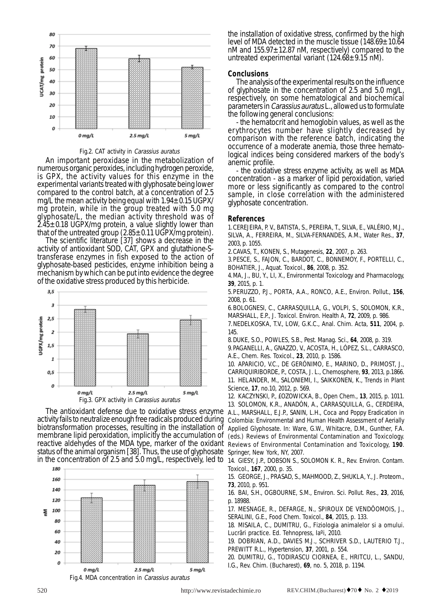

Fig.2. CAT activity in Carassius auratus

An important peroxidase in the metabolization of numerous organic peroxides, including hydrogen peroxide, is GPX, the activity values for this enzyme in the experimental variants treated with glyphosate being lower compared to the control batch, at a concentration of 2.5 mg/L the mean activity being equal with  $1.94\pm0.15$  UGPX/ mg protein, while in the group treated with 5.0 mg glyphosate/L, the median activity threshold was of 2.45±0.18 UGPX/mg protein, a value slightly lower than

that of the untreated group  $(2.85 \pm 0.11 \text{ UGPX/mg} \text{ protein})$ .<br>The scientific literature [37] shows a decrease in the activity of antioxidant SOD, CAT, GPX and glutathione-Stransferase enzymes in fish exposed to the action of glyphosate-based pesticides, enzyme inhibition being a mechanism by which can be put into evidence the degree of the oxidative stress produced by this herbicide.



The antioxidant defense due to oxidative stress enzyme A.L., MARSHALL, E.J.P., SANIN, L.H., Coca and Poppy Eradication in activity fails to neutralize enough free radicals produced during Colombia: Environmental and Human Health Assessment of Aerially biotransformation processes, resulting in the installation of Applied Glyphosate. In: Ware, G.W., Whitacre, D.M., Gunther, F.A. membrane lipid peroxidation, implicitly the accumulation of (eds.) Reviews of Environmental Contamination and Toxicology. reactive aldehydes of the MDA type, marker of the oxidant status of the animal organism [38]. Thus, the use of glyphosate



the installation of oxidative stress, confirmed by the high level of MDA detected in the muscle tissue  $(148.69 \pm 10.64)$ nM and  $155.97 \pm 12.87$  nM, respectively) compared to the untreated experimental variant  $(124.68 \pm 9.15 \text{ nM})$ .

### **Conclusions**

The analysis of the experimental results on the influence of glyphosate in the concentration of 2.5 and 5.0 mg/L, respectively, on some hematological and biochemical parameters in Carassius auratus L., allowed us to formulate the following general conclusions:

- the hematocrit and hemoglobin values, as well as the erythrocytes number have slightly decreased by comparison with the reference batch, indicating the occurrence of a moderate anemia, those three hematological indices being considered markers of the body's anemic profile.

- the oxidative stress enzyme activity, as well as MDA concentration - as a marker of lipid peroxidation, varied more or less significantly as compared to the control sample, in close correlation with the administered glyphosate concentration.

## **References**

1. CEREJEIRA, P. V., BATISTA, S., PEREIRA, T., SILVA, E., VALÉRIO, M.J., SILVA, A., FERREIRA, M., SILVA-FERNANDES, A.M., Water Res., **37**, 2003, p. 1055.

2. CAVAS, T., KONEN, S., Mutagenesis, **22**, 2007, p. 263.

3. PESCE, S., FAJON, C., BARDOT, C., BONNEMOY, F., PORTELLI, C., BOHATIER, J., Aquat. Toxicol., **86**, 2008, p. 352.

4. MA, J., BU, Y., LI, X., Environmental Toxicology and Pharmacology, **39**, 2015, p. 1.

5. PERUZZO, P.J., PORTA, A.A., RONCO, A.E., Environ. Pollut., **156**, 2008, p. 61.

6. BOLOGNESI, C., CARRASQUILLA, G., VOLPI, S., SOLOMON, K.R., MARSHALL, E.P., J. Toxicol. Environ. Health A, **72**, 2009, p. 986.

7. NEDELKOSKA, T.V., LOW, G.K.C., Anal. Chim. Acta, **511**, 2004, p. 145.

8. DUKE, S.O., POWLES, S.B., Pest. Manag. Sci., **64**, 2008, p. 319.

9. PAGANELLI, A., GNAZZO, V., ACOSTA, H., LÓPEZ, S.L., CARRASCO, A.E., Chem. Res. Toxicol., **23**, 2010, p. 1586.

10. APARICIO, V.C., DE GERÓNIMO, E., MARINO, D., PRIMOST, J., CARRIQUIRIBORDE, P., COSTA, J. L., Chemosphere, **93**, 2013, p.1866.

11. HELANDER, M., SALONIEMI, I., SAIKKONEN, K., Trends in Plant Science, **17**, no.10, 2012, p. 569.

12. KACZYNSKI, P., £OZOWICKA, B., Open Chem., **13**, 2015, p. 1011. 13. SOLOMON, K.R., ANADÓN, A., CARRASQUILLA, G., CERDEIRA, Reviews of Environmental Contamination and Toxicology, **190**. Springer, New York, NY, 2007.

in the concentration of 2.5 and 5.0 mg/L, respectively, led to \_14. GIESY, J.P., DOBSON S., SOLOMON K. R., Rev. Environ. Contam. Toxicol., **167**, 2000, p. 35.

> 15. GEORGE, J., PRASAD, S., MAHMOOD, Z., SHUKLA, Y., J. Proteom., **73**, 2010, p. 951.

> 16. BAI, S.H., OGBOURNE, S.M., Environ. Sci. Pollut. Res., **23**, 2016, p. 18988.

> 17. MESNAGE, R., DEFARGE, N., SPIROUX DE VENDÔOMOIS, J., SERALINI, G.E., Food Chem. Toxicol., **84**, 2015, p. 133.

> 18. MISAILA, C., DUMITRU, G., Fiziologia animalelor si a omului. Lucrãri practice. Ed. Tehnopress, Iaºi, 2010.

> 19. DOBRIAN, A.D., DAVIES M.J., SCHRIVER S.D., LAUTERIO T.J., PREWITT R.L., Hypertension, **37**, 2001, p. 554.

> 20. DUMITRU, G., TODIRASCU CIORNEA, E., HRITCU, L., SANDU, I.G., Rev. Chim. (Bucharest), **69**, no. 5, 2018, p. 1194.